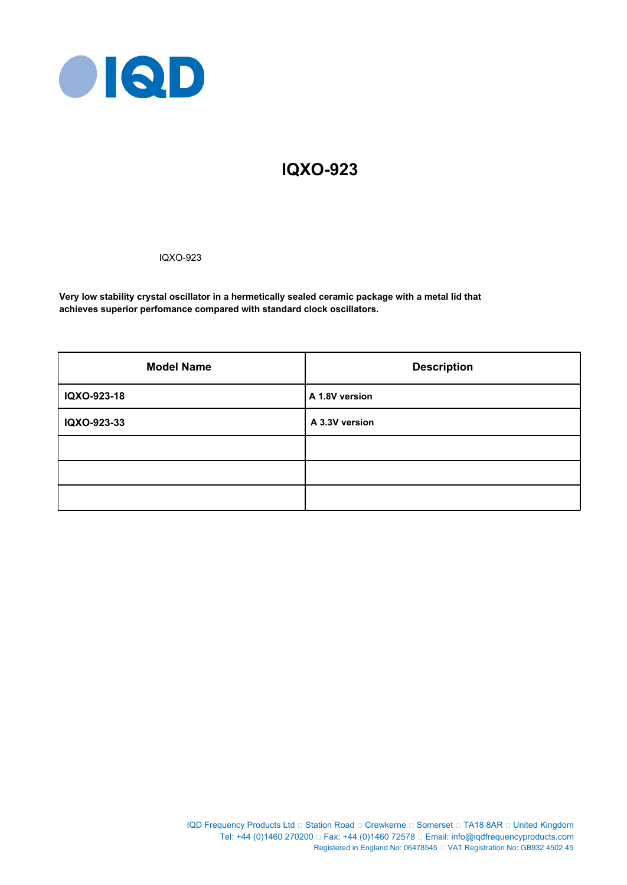

# **IQXO-923**

IQXO-923

**Very low stability crystal oscillator in a hermetically sealed ceramic package with a metal lid that achieves superior perfomance compared with standard clock oscillators.**

| <b>Model Name</b> | <b>Description</b> |
|-------------------|--------------------|
| IQXO-923-18       | A 1.8V version     |
| IQXO-923-33       | A 3.3V version     |
|                   |                    |
|                   |                    |
|                   |                    |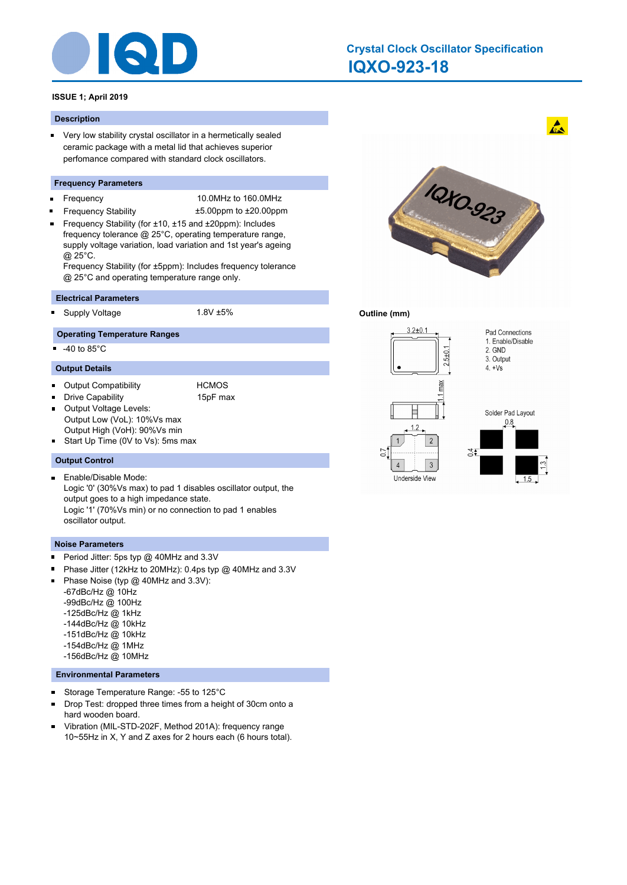

# **IQXO-923-18 Crystal Clock Oscillator Specification**

# **ISSUE 1; April 2019**

#### **Description**

■ Very low stability crystal oscillator in a hermetically sealed ceramic package with a metal lid that achieves superior perfomance compared with standard clock oscillators.

#### **Frequency Parameters**

- ×
	- Frequency 10.0MHz to 160.0MHz
- Frequency Stability ±5.00ppm to ±20.00ppm Frequency Stability (for ±10, ±15 and ±20ppm): Includes frequency tolerance @ 25°C, operating temperature range, supply voltage variation, load variation and 1st year's ageing @ 25°C.

Frequency Stability (for ±5ppm): Includes frequency tolerance @ 25°C and operating temperature range only.

### **Electrical Parameters**

Supply Voltage 1.8V ±5%

# **Operating Temperature Ranges**

 $-40$  to  $85^{\circ}$ C

#### **Output Details**

- $\blacksquare$ Output Compatibility **HCMOS**
- $\blacksquare$ Drive Capability **15pF** max

 $\blacksquare$ 

- 
- Output Voltage Levels: Output Low (VoL): 10%Vs max
- Output High (VoH): 90%Vs min
- Start Up Time (0V to Vs): 5ms max  $\blacksquare$

# **Output Control**

 $\blacksquare$ Enable/Disable Mode: Logic '0' (30%Vs max) to pad 1 disables oscillator output, the output goes to a high impedance state. Logic '1' (70%Vs min) or no connection to pad 1 enables oscillator output.

#### **Noise Parameters**

- Period Jitter: 5ps typ @ 40MHz and 3.3V  $\blacksquare$
- Phase Jitter (12kHz to 20MHz): 0.4ps typ @ 40MHz and 3.3V  $\blacksquare$
- $\blacksquare$ Phase Noise (typ @ 40MHz and 3.3V):

-67dBc/Hz @ 10Hz -99dBc/Hz @ 100Hz -125dBc/Hz @ 1kHz

- -144dBc/Hz @ 10kHz
- -151dBc/Hz @ 10kHz
- -154dBc/Hz @ 1MHz
- -156dBc/Hz @ 10MHz

### **Environmental Parameters**

- $\blacksquare$ Storage Temperature Range: -55 to 125°C
- Drop Test: dropped three times from a height of 30cm onto a  $\blacksquare$ hard wooden board.
- Vibration (MIL-STD-202F, Method 201A): frequency range 10~55Hz in X, Y and Z axes for 2 hours each (6 hours total).



 $\mathbf{A}$ 

# **Outline (mm)**

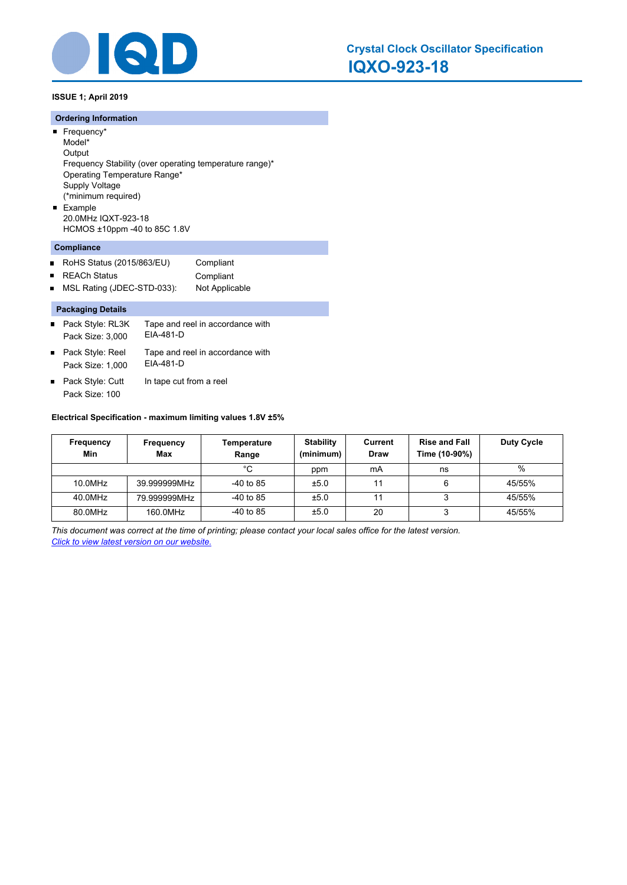

**ISSUE 1; April 2019**

# **Ordering Information**

- Frequency\* Model\* **Output** Frequency Stability (over operating temperature range)\* Operating Temperature Range\* Supply Voltage (\*minimum required) **Example**
- 20.0MHz IQXT-923-18 HCMOS ±10ppm -40 to 85C 1.8V

# **Compliance**

| RoHS Status (2015/863/EU) | Compliant |
|---------------------------|-----------|
| <b>REACh Status</b>       | Compliant |

■ MSL Rating (JDEC-STD-033): Not Applicable

# **Packaging Details**

- Tape and reel in accordance with EIA-481-D ■ Pack Style: RL3K Pack Size: 3,000 Tape and reel in accordance with ■ Pack Style: Reel
- EIA-481-D Pack Size: 1,000
- Pack Style: Cutt In tape cut from a reel Pack Size: 100

# **Electrical Specification - maximum limiting values 1.8V ±5%**

| Frequency<br>Min | <b>Frequency</b><br>Max | Temperature<br>Range | <b>Stability</b><br>(minimum) | Current<br>Draw | <b>Rise and Fall</b><br>Time (10-90%) | <b>Duty Cycle</b> |
|------------------|-------------------------|----------------------|-------------------------------|-----------------|---------------------------------------|-------------------|
|                  |                         | °C                   | ppm                           | mA              | ns                                    | %                 |
| 10.0MHz          | 39.999999MHz            | $-40$ to 85          | ±5.0                          | 11              | 6                                     | 45/55%            |
| 40.0MHz          | 79.999999MHz            | $-40$ to 85          | ±5.0                          | 11              |                                       | 45/55%            |
| 80.0MHz          | 160.0MHz                | $-40$ to 85          | ±5.0                          | 20              |                                       | 45/55%            |

*This document was correct at the time of printing; please contact your local sales office for the latest version. Click to view latest version on our website.*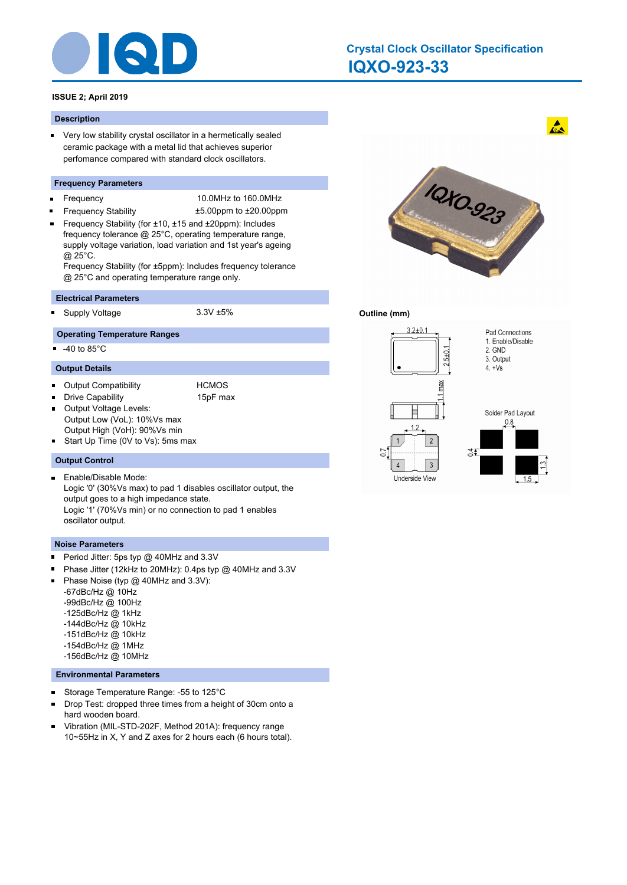

# **IQXO-923-33 Crystal Clock Oscillator Specification**

# **ISSUE 2; April 2019**

#### **Description**

■ Very low stability crystal oscillator in a hermetically sealed ceramic package with a metal lid that achieves superior perfomance compared with standard clock oscillators.

#### **Frequency Parameters**

- ×
	- Frequency 10.0MHz to 160.0MHz
- Frequency Stability ±5.00ppm to ±20.00ppm Frequency Stability (for ±10, ±15 and ±20ppm): Includes frequency tolerance @ 25°C, operating temperature range, supply voltage variation, load variation and 1st year's ageing @ 25°C.

Frequency Stability (for ±5ppm): Includes frequency tolerance @ 25°C and operating temperature range only.

### **Electrical Parameters**

Supply Voltage 3.3V ±5%

# **Operating Temperature Ranges**

 $-40$  to  $85^{\circ}$ C

#### **Output Details**

- $\blacksquare$ Output Compatibility **HCMOS**
- $\blacksquare$ Drive Capability **15pF** max

 $\blacksquare$ 

- 
- Output Voltage Levels: Output Low (VoL): 10%Vs max
- Output High (VoH): 90%Vs min
- Start Up Time (0V to Vs): 5ms max  $\blacksquare$

### **Output Control**

 $\blacksquare$ Enable/Disable Mode: Logic '0' (30%Vs max) to pad 1 disables oscillator output, the output goes to a high impedance state. Logic '1' (70%Vs min) or no connection to pad 1 enables oscillator output.

#### **Noise Parameters**

- Period Jitter: 5ps typ @ 40MHz and 3.3V  $\blacksquare$
- Phase Jitter (12kHz to 20MHz): 0.4ps typ @ 40MHz and 3.3V  $\blacksquare$
- $\blacksquare$ Phase Noise (typ @ 40MHz and 3.3V):

-67dBc/Hz @ 10Hz -99dBc/Hz @ 100Hz -125dBc/Hz @ 1kHz

- -144dBc/Hz @ 10kHz
- -151dBc/Hz @ 10kHz
- -154dBc/Hz @ 1MHz
- -156dBc/Hz @ 10MHz

### **Environmental Parameters**

- $\blacksquare$ Storage Temperature Range: -55 to 125°C
- Drop Test: dropped three times from a height of 30cm onto a  $\blacksquare$ hard wooden board.
- Vibration (MIL-STD-202F, Method 201A): frequency range 10~55Hz in X, Y and Z axes for 2 hours each (6 hours total).



 $\mathbf{A}$ 

### **Outline (mm)**